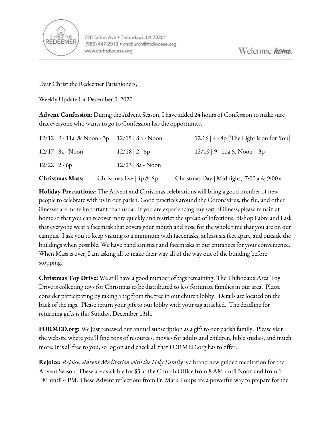

Dear Christ the Redeemer Parishioners,

Weekly Update for December 9, 2020

**Advent Confession**: During the Advent Season, I have added 24 hours of Confession to make sure that everyone who wants to go to Confession has the opportunity.

| <b>Christmas Mass:</b> | Christmas Eve   4p & 6p                          | Christmas Day   Midnight, 7:00 a & 9:00 a  |
|------------------------|--------------------------------------------------|--------------------------------------------|
| $12/22$   2 - 6p       | $12/23$   8a - Noon                              |                                            |
| $12/17$   8a - Noon    | $12/18$   2 - 6p                                 | $12/19$   9 - 11a & Noon - 3p              |
|                        | $12/12$   9 - 11a & Noon - 3p 12/15   8 a - Noon | 12.16   $4 - 8p$ [The Light is on for You] |

**Holiday Precautions:** The Advent and Christmas celebrations will bring a good number of new people to celebrate with us in our parish. Good practices around the Coronavirus, the flu, and other illnesses are more important than usual. If you are experiencing any sort of illness, please remain at home so that you can recover more quickly and restrict the spread of infections. Bishop Fabre and I ask that everyone wear a facemask that covers your mouth and nose for the whole time that you are on our campus. I ask you to keep visiting to a minimum with facemasks, at least six feet apart, and outside the buildings when possible. We have hand sanitizer and facemasks at our entrances for your convenience. When Mass is over, I am asking all to make their way all of the way out of the building before stopping.

**Christmas Toy Drive:** We still have a good number of tags remaining. The Thibodaux Area Toy Drive is collecting toys for Christmas to be distributed to less fortunate families in our area. Please consider participating by taking a tag from the tree in our church lobby. Details are located on the back of the tags. Please return your gift to our lobby with your tag attached. The deadline for returning gifts is this Sunday, December 13th.

**FORMED.org:** We just renewed our annual subscription as a gift to our parish family. Please visit the website where you'll find tons of resources, movies for adults and children, bible studies, and much more. It is all free to you, so log on and check all that FORMED.org has to offer.

**Rejoice:** *Rejoice: Advent Meditation with the Holy Family* is a brand new guided meditation for the Advent Season. These are available for \$5 at the Church Office from 8 AM until Noon and from 1 PM until 4 PM. These Advent reflections from Fr. Mark Toups are a powerful way to prepare for the